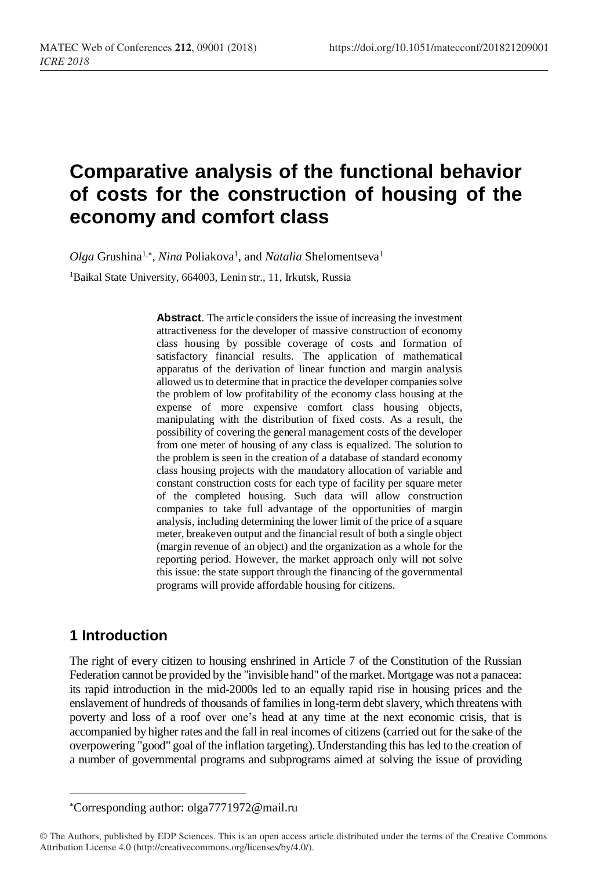# **Comparative analysis of the functional behavior of costs for the construction of housing of the economy and comfort class**

Olga Grushina<sup>1,\*</sup>, *Nina* Poliakova<sup>1</sup>, and *Natalia* Shelomentseva<sup>1</sup>

<sup>1</sup>Baikal State University, 664003, Lenin str., 11, Irkutsk, Russia

**Abstract**. The article considers the issue of increasing the investment attractiveness for the developer of massive construction of economy class housing by possible coverage of costs and formation of satisfactory financial results. The application of mathematical apparatus of the derivation of linear function and margin analysis allowed us to determine that in practice the developer companies solve the problem of low profitability of the economy class housing at the expense of more expensive comfort class housing objects, manipulating with the distribution of fixed costs. As a result, the possibility of covering the general management costs of the developer from one meter of housing of any class is equalized. The solution to the problem is seen in the creation of a database of standard economy class housing projects with the mandatory allocation of variable and constant construction costs for each type of facility per square meter of the completed housing. Such data will allow construction companies to take full advantage of the opportunities of margin analysis, including determining the lower limit of the price of a square meter, breakeven output and the financial result of both a single object (margin revenue of an object) and the organization as a whole for the reporting period. However, the market approach only will not solve this issue: the state support through the financing of the governmental programs will provide affordable housing for citizens.

#### **1 Introduction**

l

The right of every citizen to housing enshrined in Article 7 of the Constitution of the Russian Federation cannot be provided by the "invisible hand" of the market. Mortgage was not a panacea: its rapid introduction in the mid-2000s led to an equally rapid rise in housing prices and the enslavement of hundreds of thousands of families in long-term debt slavery, which threatens with poverty and loss of a roof over one's head at any time at the next economic crisis, that is accompanied by higher rates and the fall in real incomes of citizens (carried out for the sake of the overpowering "good" goal of the inflation targeting). Understanding this has led to the creation of a number of governmental programs and subprograms aimed at solving the issue of providing

Corresponding author: olga7771972@mail.ru

<sup>©</sup> The Authors, published by EDP Sciences. This is an open access article distributed under the terms of the Creative Commons Attribution License 4.0 (http://creativecommons.org/licenses/by/4.0/).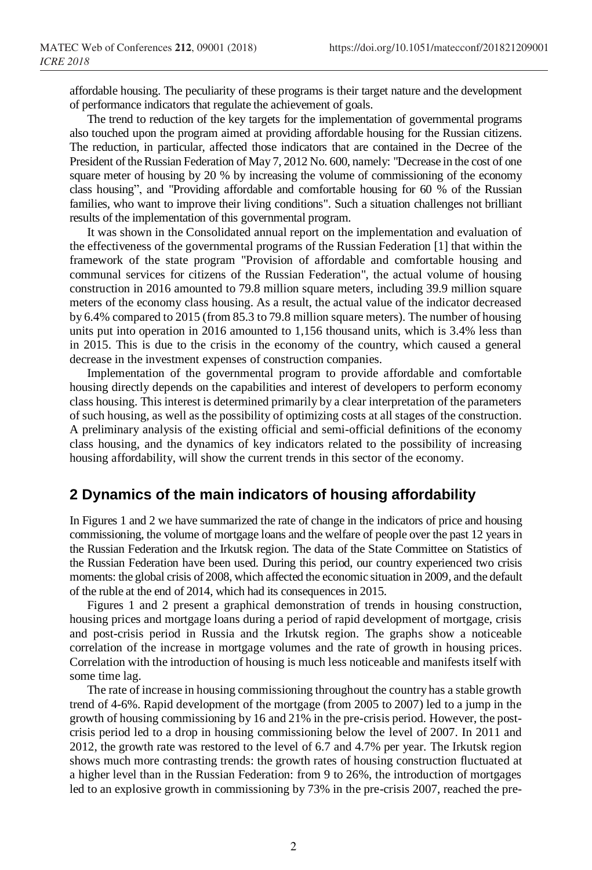affordable housing. The peculiarity of these programs is their target nature and the development of performance indicators that regulate the achievement of goals.

The trend to reduction of the key targets for the implementation of governmental programs also touched upon the program aimed at providing affordable housing for the Russian citizens. The reduction, in particular, affected those indicators that are contained in the Decree of the President of the Russian Federation of May 7, 2012 No. 600, namely: "Decrease in the cost of one square meter of housing by 20 % by increasing the volume of commissioning of the economy class housing", and "Providing affordable and comfortable housing for 60 % of the Russian families, who want to improve their living conditions". Such a situation challenges not brilliant results of the implementation of this governmental program.

It was shown in the Consolidated annual report on the implementation and evaluation of the effectiveness of the governmental programs of the Russian Federation [1] that within the framework of the state program "Provision of affordable and comfortable housing and communal services for citizens of the Russian Federation", the actual volume of housing construction in 2016 amounted to 79.8 million square meters, including 39.9 million square meters of the economy class housing. As a result, the actual value of the indicator decreased by 6.4% compared to 2015 (from 85.3 to 79.8 million square meters). The number of housing units put into operation in 2016 amounted to 1,156 thousand units, which is 3.4% less than in 2015. This is due to the crisis in the economy of the country, which caused a general decrease in the investment expenses of construction companies.

Implementation of the governmental program to provide affordable and comfortable housing directly depends on the capabilities and interest of developers to perform economy class housing. This interest is determined primarily by a clear interpretation of the parameters of such housing, as well as the possibility of optimizing costs at all stages of the construction. A preliminary analysis of the existing official and semi-official definitions of the economy class housing, and the dynamics of key indicators related to the possibility of increasing housing affordability, will show the current trends in this sector of the economy.

#### **2 Dynamics of the main indicators of housing affordability**

In Figures 1 and 2 we have summarized the rate of change in the indicators of price and housing commissioning, the volume of mortgage loans and the welfare of people over the past 12 years in the Russian Federation and the Irkutsk region. The data of the State Committee on Statistics of the Russian Federation have been used. During this period, our country experienced two crisis moments: the global crisis of 2008, which affected the economic situation in 2009, and the default of the ruble at the end of 2014, which had its consequences in 2015.

Figures 1 and 2 present a graphical demonstration of trends in housing construction, housing prices and mortgage loans during a period of rapid development of mortgage, crisis and post-crisis period in Russia and the Irkutsk region. The graphs show a noticeable correlation of the increase in mortgage volumes and the rate of growth in housing prices. Correlation with the introduction of housing is much less noticeable and manifests itself with some time lag.

The rate of increase in housing commissioning throughout the country has a stable growth trend of 4-6%. Rapid development of the mortgage (from 2005 to 2007) led to a jump in the growth of housing commissioning by 16 and 21% in the pre-crisis period. However, the postcrisis period led to a drop in housing commissioning below the level of 2007. In 2011 and 2012, the growth rate was restored to the level of 6.7 and 4.7% per year. The Irkutsk region shows much more contrasting trends: the growth rates of housing construction fluctuated at a higher level than in the Russian Federation: from 9 to 26%, the introduction of mortgages led to an explosive growth in commissioning by 73% in the pre-crisis 2007, reached the pre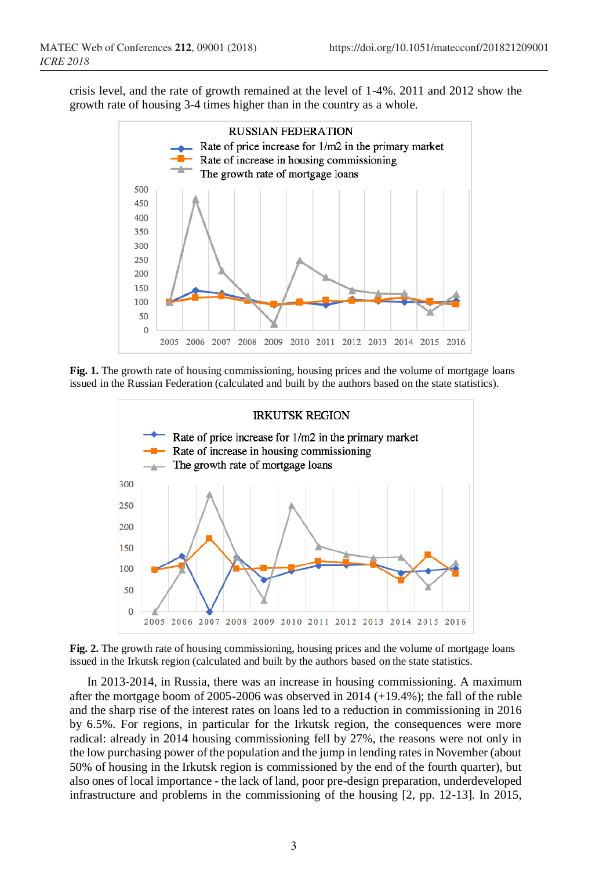crisis level, and the rate of growth remained at the level of 1-4%. 2011 and 2012 show the growth rate of housing 3-4 times higher than in the country as a whole.



**Fig. 1.** The growth rate of housing commissioning, housing prices and the volume of mortgage loans issued in the Russian Federation (calculated and built by the authors based on the state statistics).



**Fig. 2.** The growth rate of housing commissioning, housing prices and the volume of mortgage loans issued in the Irkutsk region (calculated and built by the authors based on the state statistics.

In 2013-2014, in Russia, there was an increase in housing commissioning. A maximum after the mortgage boom of 2005-2006 was observed in 2014  $(+19.4\%)$ ; the fall of the ruble and the sharp rise of the interest rates on loans led to a reduction in commissioning in 2016 by 6.5%. For regions, in particular for the Irkutsk region, the consequences were more radical: already in 2014 housing commissioning fell by 27%, the reasons were not only in the low purchasing power of the population and the jump in lending rates in November (about 50% of housing in the Irkutsk region is commissioned by the end of the fourth quarter), but also ones of local importance - the lack of land, poor pre-design preparation, underdeveloped infrastructure and problems in the commissioning of the housing [2, pp. 12-13]. In 2015,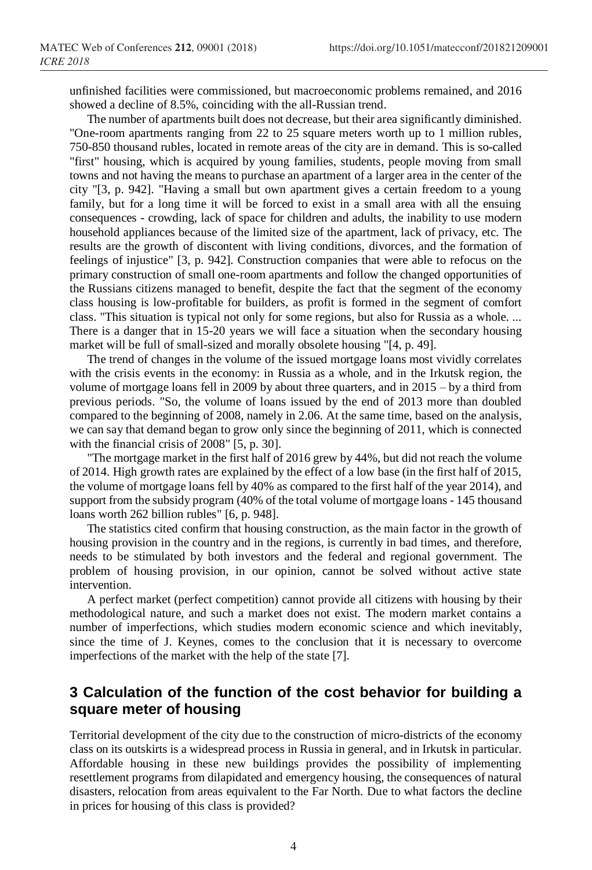unfinished facilities were commissioned, but macroeconomic problems remained, and 2016 showed a decline of 8.5%, coinciding with the all-Russian trend.

The number of apartments built does not decrease, but their area significantly diminished. "One-room apartments ranging from 22 to 25 square meters worth up to 1 million rubles, 750-850 thousand rubles, located in remote areas of the city are in demand. This is so-called "first" housing, which is acquired by young families, students, people moving from small towns and not having the means to purchase an apartment of a larger area in the center of the city "[3, p. 942]. "Having a small but own apartment gives a certain freedom to a young family, but for a long time it will be forced to exist in a small area with all the ensuing consequences - crowding, lack of space for children and adults, the inability to use modern household appliances because of the limited size of the apartment, lack of privacy, etc. The results are the growth of discontent with living conditions, divorces, and the formation of feelings of injustice" [3, p. 942]. Construction companies that were able to refocus on the primary construction of small one-room apartments and follow the changed opportunities of the Russians citizens managed to benefit, despite the fact that the segment of the economy class housing is low-profitable for builders, as profit is formed in the segment of comfort class. "This situation is typical not only for some regions, but also for Russia as a whole. ... There is a danger that in 15-20 years we will face a situation when the secondary housing market will be full of small-sized and morally obsolete housing "[4, p. 49].

The trend of changes in the volume of the issued mortgage loans most vividly correlates with the crisis events in the economy: in Russia as a whole, and in the Irkutsk region, the volume of mortgage loans fell in 2009 by about three quarters, and in 2015 – by a third from previous periods. "So, the volume of loans issued by the end of 2013 more than doubled compared to the beginning of 2008, namely in 2.06. At the same time, based on the analysis, we can say that demand began to grow only since the beginning of 2011, which is connected with the financial crisis of 2008" [5, p. 30].

"The mortgage market in the first half of 2016 grew by 44%, but did not reach the volume of 2014. High growth rates are explained by the effect of a low base (in the first half of 2015, the volume of mortgage loans fell by 40% as compared to the first half of the year 2014), and support from the subsidy program (40% of the total volume of mortgage loans - 145 thousand loans worth 262 billion rubles" [6, p. 948].

The statistics cited confirm that housing construction, as the main factor in the growth of housing provision in the country and in the regions, is currently in bad times, and therefore, needs to be stimulated by both investors and the federal and regional government. The problem of housing provision, in our opinion, cannot be solved without active state intervention.

A perfect market (perfect competition) cannot provide all citizens with housing by their methodological nature, and such a market does not exist. The modern market contains a number of imperfections, which studies modern economic science and which inevitably, since the time of J. Keynes, comes to the conclusion that it is necessary to overcome imperfections of the market with the help of the state [7].

## **3 Calculation of the function of the cost behavior for building a square meter of housing**

Territorial development of the city due to the construction of micro-districts of the economy class on its outskirts is a widespread process in Russia in general, and in Irkutsk in particular. Affordable housing in these new buildings provides the possibility of implementing resettlement programs from dilapidated and emergency housing, the consequences of natural disasters, relocation from areas equivalent to the Far North. Due to what factors the decline in prices for housing of this class is provided?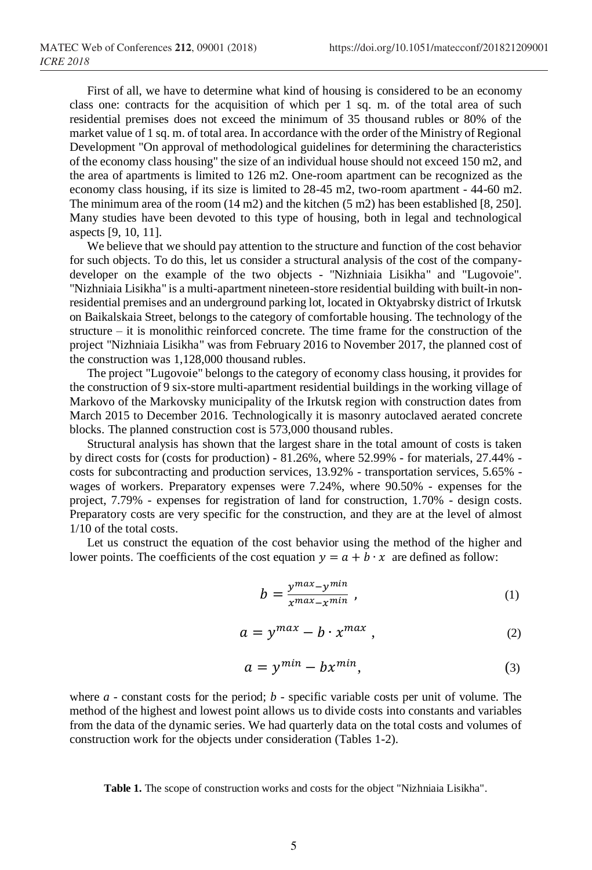First of all, we have to determine what kind of housing is considered to be an economy class one: contracts for the acquisition of which per 1 sq. m. of the total area of such residential premises does not exceed the minimum of 35 thousand rubles or 80% of the market value of 1 sq. m. of total area. In accordance with the order of the Ministry of Regional Development "On approval of methodological guidelines for determining the characteristics of the economy class housing" the size of an individual house should not exceed 150 m2, and the area of apartments is limited to 126 m2. One-room apartment can be recognized as the economy class housing, if its size is limited to 28-45 m2, two-room apartment - 44-60 m2. The minimum area of the room (14 m2) and the kitchen (5 m2) has been established [8, 250]. Many studies have been devoted to this type of housing, both in legal and technological aspects [9, 10, 11].

We believe that we should pay attention to the structure and function of the cost behavior for such objects. To do this, let us consider a structural analysis of the cost of the companydeveloper on the example of the two objects - "Nizhniaia Lisikha" and "Lugovoie". "Nizhniaia Lisikha" is a multi-apartment nineteen-store residential building with built-in nonresidential premises and an underground parking lot, located in Oktyabrsky district of Irkutsk on Baikalskaia Street, belongs to the category of comfortable housing. The technology of the structure – it is monolithic reinforced concrete. The time frame for the construction of the project "Nizhniaia Lisikha" was from February 2016 to November 2017, the planned cost of the construction was 1,128,000 thousand rubles.

The project "Lugovoie" belongs to the category of economy class housing, it provides for the construction of 9 six-store multi-apartment residential buildings in the working village of Markovo of the Markovsky municipality of the Irkutsk region with construction dates from March 2015 to December 2016. Technologically it is masonry autoclaved aerated concrete blocks. The planned construction cost is 573,000 thousand rubles.

Structural analysis has shown that the largest share in the total amount of costs is taken by direct costs for (costs for production) - 81.26%, where 52.99% - for materials, 27.44% costs for subcontracting and production services, 13.92% - transportation services, 5.65% wages of workers. Preparatory expenses were 7.24%, where 90.50% - expenses for the project, 7.79% - expenses for registration of land for construction, 1.70% - design costs. Preparatory costs are very specific for the construction, and they are at the level of almost 1/10 of the total costs.

Let us construct the equation of the cost behavior using the method of the higher and lower points. The coefficients of the cost equation  $y = a + b \cdot x$  are defined as follow:

$$
b = \frac{y^{\max} - y^{\min}}{x^{\max} - x^{\min}} \tag{1}
$$

$$
a = y^{max} - b \cdot x^{max}, \qquad (2)
$$

$$
a = y^{min} - bx^{min}, \tag{3}
$$

where *a* - constant costs for the period; *b* - specific variable costs per unit of volume. The method of the highest and lowest point allows us to divide costs into constants and variables from the data of the dynamic series. We had quarterly data on the total costs and volumes of construction work for the objects under consideration (Tables 1-2).

**Table 1.** The scope of construction works and costs for the object "Nizhniaia Lisikha".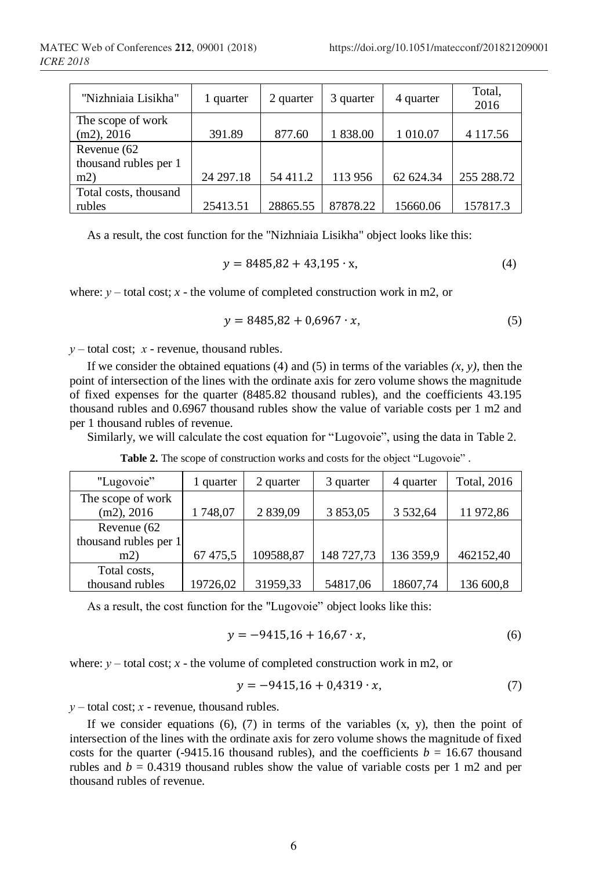| "Nizhniaia Lisikha"   | 1 quarter | 2 quarter | 3 quarter | 4 quarter | Total.<br>2016 |
|-----------------------|-----------|-----------|-----------|-----------|----------------|
| The scope of work     |           |           |           |           |                |
| $(m2)$ , 2016         | 391.89    | 877.60    | 1 838.00  | 1 010.07  | 4 117.56       |
| Revenue (62           |           |           |           |           |                |
| thousand rubles per 1 |           |           |           |           |                |
| m2)                   | 24 297.18 | 54 411.2  | 113 956   | 62 624.34 | 255 288.72     |
| Total costs, thousand |           |           |           |           |                |
| rubles                | 25413.51  | 28865.55  | 87878.22  | 15660.06  | 157817.3       |

As a result, the cost function for the "Nizhniaia Lisikha" object looks like this:

$$
y = 8485,82 + 43,195 \cdot x,\tag{4}
$$

where:  $y$  – total cost;  $x$  - the volume of completed construction work in m2, or

$$
y = 8485,82 + 0,6967 \cdot x,\tag{5}
$$

*у* – total cost; *х* - revenue, thousand rubles.

If we consider the obtained equations (4) and (5) in terms of the variables  $(x, y)$ , then the point of intersection of the lines with the ordinate axis for zero volume shows the magnitude of fixed expenses for the quarter (8485.82 thousand rubles), and the coefficients 43.195 thousand rubles and 0.6967 thousand rubles show the value of variable costs per 1 m2 and per 1 thousand rubles of revenue.

Similarly, we will calculate the cost equation for "Lugovoie", using the data in Table 2.

Table 2. The scope of construction works and costs for the object "Lugovoie".

| "Lugovoie"            | 1 quarter | 2 quarter | 3 quarter  | 4 quarter     | <b>Total</b> , 2016 |
|-----------------------|-----------|-----------|------------|---------------|---------------------|
| The scope of work     |           |           |            |               |                     |
| $(m2)$ , 2016         | 1748,07   | 2 839,09  | 3 853,05   | 3 5 3 2 , 6 4 | 11 972,86           |
| Revenue (62           |           |           |            |               |                     |
| thousand rubles per 1 |           |           |            |               |                     |
| m2                    | 67475,5   | 109588,87 | 148 727,73 | 136 359,9     | 462152,40           |
| Total costs,          |           |           |            |               |                     |
| thousand rubles       | 19726,02  | 31959,33  | 54817,06   | 18607,74      | 136 600,8           |

As a result, the cost function for the "Lugovoie" object looks like this:

$$
y = -9415,16 + 16,67 \cdot x,\tag{6}
$$

where:  $y$  – total cost;  $x$  - the volume of completed construction work in m2, or

$$
y = -9415,16 + 0,4319 \cdot x,\tag{7}
$$

*у* – total cost; *х* - revenue, thousand rubles.

If we consider equations  $(6)$ ,  $(7)$  in terms of the variables  $(x, y)$ , then the point of intersection of the lines with the ordinate axis for zero volume shows the magnitude of fixed costs for the quarter (-9415.16 thousand rubles), and the coefficients  $b = 16.67$  thousand rubles and  $b = 0.4319$  thousand rubles show the value of variable costs per 1 m2 and per thousand rubles of revenue.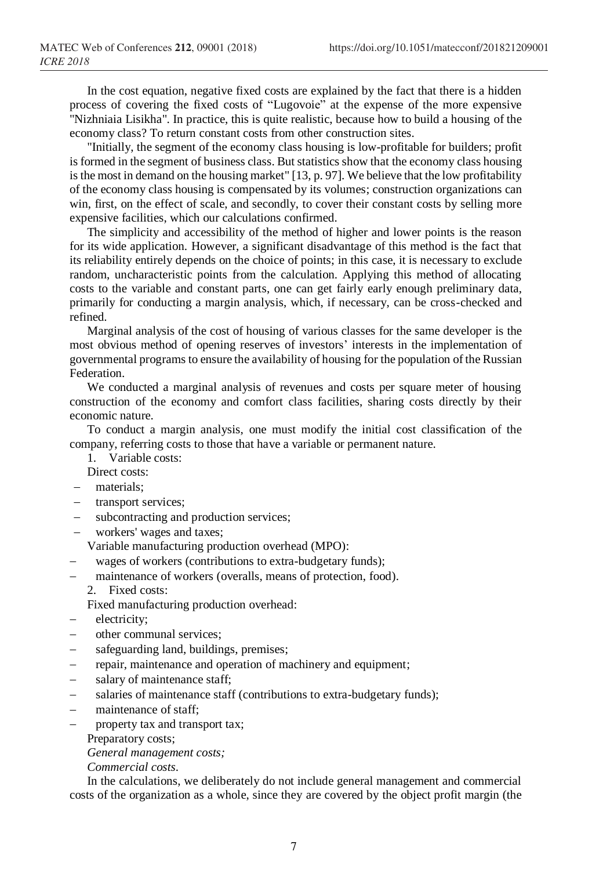In the cost equation, negative fixed costs are explained by the fact that there is a hidden process of covering the fixed costs of "Lugovoie" at the expense of the more expensive "Nizhniaia Lisikha". In practice, this is quite realistic, because how to build a housing of the economy class? To return constant costs from other construction sites.

"Initially, the segment of the economy class housing is low-profitable for builders; profit is formed in the segment of business class. But statistics show that the economy class housing is the most in demand on the housing market" [13, p. 97]. We believe that the low profitability of the economy class housing is compensated by its volumes; construction organizations can win, first, on the effect of scale, and secondly, to cover their constant costs by selling more expensive facilities, which our calculations confirmed.

The simplicity and accessibility of the method of higher and lower points is the reason for its wide application. However, a significant disadvantage of this method is the fact that its reliability entirely depends on the choice of points; in this case, it is necessary to exclude random, uncharacteristic points from the calculation. Applying this method of allocating costs to the variable and constant parts, one can get fairly early enough preliminary data, primarily for conducting a margin analysis, which, if necessary, can be cross-checked and refined.

Marginal analysis of the cost of housing of various classes for the same developer is the most obvious method of opening reserves of investors' interests in the implementation of governmental programs to ensure the availability of housing for the population of the Russian Federation.

We conducted a marginal analysis of revenues and costs per square meter of housing construction of the economy and comfort class facilities, sharing costs directly by their economic nature.

To conduct a margin analysis, one must modify the initial cost classification of the company, referring costs to those that have a variable or permanent nature.

- 1. Variable costs:
- Direct costs:
- − materials;
- − transport services;
- subcontracting and production services;
- workers' wages and taxes;

Variable manufacturing production overhead (MPO):

- wages of workers (contributions to extra-budgetary funds);
- maintenance of workers (overalls, means of protection, food).
	- 2. Fixed costs:

Fixed manufacturing production overhead:

- electricity;
- other communal services;
- safeguarding land, buildings, premises;
- − repair, maintenance and operation of machinery and equipment;
- − salary of maintenance staff;
- − salaries of maintenance staff (contributions to extra-budgetary funds);
- − maintenance of staff;
- property tax and transport tax;

Preparatory costs;

*General management costs;*

*Commercial costs.*

In the calculations, we deliberately do not include general management and commercial costs of the organization as a whole, since they are covered by the object profit margin (the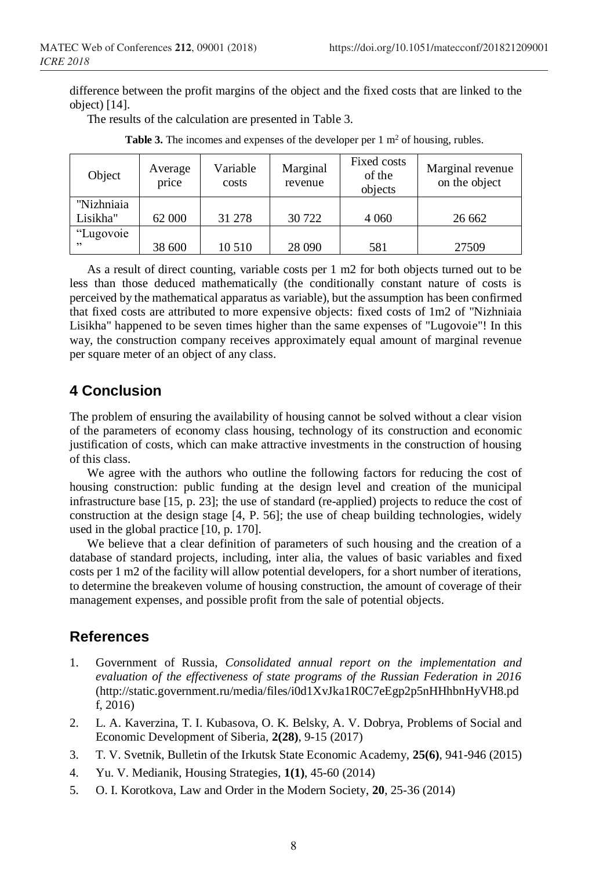difference between the profit margins of the object and the fixed costs that are linked to the object) [14].

The results of the calculation are presented in Table 3.

| Object                 | Average<br>price | Variable<br>costs | Marginal<br>revenue | Fixed costs<br>of the<br>objects | Marginal revenue<br>on the object |
|------------------------|------------------|-------------------|---------------------|----------------------------------|-----------------------------------|
| "Nizhniaia<br>Lisikha" | 62 000           | 31 278            | 30 722              | 4 0 6 0                          | 26 662                            |
| "Lugovoie<br>, 2       | 38 600           | 10 510            | 28 090              | 581                              | 27509                             |

**Table 3.** The incomes and expenses of the developer per  $1 \text{ m}^2$  of housing, rubles.

As a result of direct counting, variable costs per 1 m2 for both objects turned out to be less than those deduced mathematically (the conditionally constant nature of costs is perceived by the mathematical apparatus as variable), but the assumption has been confirmed that fixed costs are attributed to more expensive objects: fixed costs of 1m2 of "Nizhniaia Lisikha" happened to be seven times higher than the same expenses of "Lugovoie"! In this way, the construction company receives approximately equal amount of marginal revenue per square meter of an object of any class.

## **4 Conclusion**

The problem of ensuring the availability of housing cannot be solved without a clear vision of the parameters of economy class housing, technology of its construction and economic justification of costs, which can make attractive investments in the construction of housing of this class.

We agree with the authors who outline the following factors for reducing the cost of housing construction: public funding at the design level and creation of the municipal infrastructure base [15, p. 23]; the use of standard (re-applied) projects to reduce the cost of construction at the design stage [4, P. 56]; the use of cheap building technologies, widely used in the global practice [10, p. 170].

We believe that a clear definition of parameters of such housing and the creation of a database of standard projects, including, inter alia, the values of basic variables and fixed costs per 1 m2 of the facility will allow potential developers, for a short number of iterations, to determine the breakeven volume of housing construction, the amount of coverage of their management expenses, and possible profit from the sale of potential objects.

## **References**

- 1. Government of Russia, *Consolidated annual report on the implementation and evaluation of the effectiveness of state programs of the Russian Federation in 2016* (http://static.government.ru/media/files/i0d1XvJka1R0C7eEgp2p5nHHhbnHyVH8.pd f, 2016)
- 2. L. A. Kaverzina, T. I. Kubasova, O. K. Belsky, A. V. Dobrya, Problems of Social and Economic Development of Siberia, **2(28)**, 9-15 (2017)
- 3. T. V. Svetnik, Bulletin of the Irkutsk State Economic Academy, **25(6)**, 941-946 (2015)
- 4. Yu. V. Medianik, Housing Strategies, **1(1)**, 45-60 (2014)
- 5. O. I. Korotkova, Law and Order in the Modern Society, **20**, 25-36 (2014)